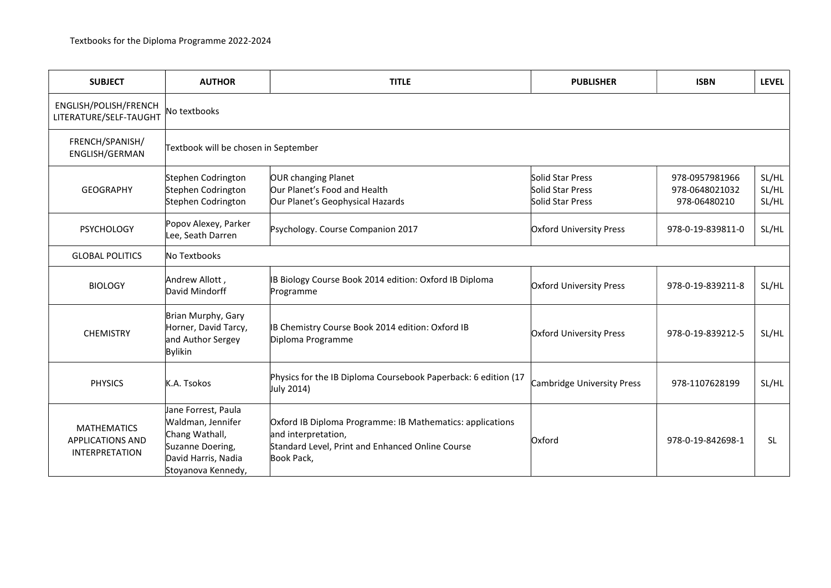| <b>SUBJECT</b>                                                         | <b>AUTHOR</b>                                                                                                               | <b>TITLE</b>                                                                                                                                       | <b>PUBLISHER</b>                                         | <b>ISBN</b>                                      | <b>LEVEL</b>            |  |  |  |
|------------------------------------------------------------------------|-----------------------------------------------------------------------------------------------------------------------------|----------------------------------------------------------------------------------------------------------------------------------------------------|----------------------------------------------------------|--------------------------------------------------|-------------------------|--|--|--|
| ENGLISH/POLISH/FRENCH<br>LITERATURE/SELF-TAUGHT                        | No textbooks                                                                                                                |                                                                                                                                                    |                                                          |                                                  |                         |  |  |  |
| FRENCH/SPANISH/<br>ENGLISH/GERMAN                                      | Textbook will be chosen in September                                                                                        |                                                                                                                                                    |                                                          |                                                  |                         |  |  |  |
| <b>GEOGRAPHY</b>                                                       | Stephen Codrington<br>Stephen Codrington<br>Stephen Codrington                                                              | OUR changing Planet<br>Our Planet's Food and Health<br>Our Planet's Geophysical Hazards                                                            | Solid Star Press<br>Solid Star Press<br>Solid Star Press | 978-0957981966<br>978-0648021032<br>978-06480210 | SL/HL<br>SL/HL<br>SL/HL |  |  |  |
| <b>PSYCHOLOGY</b>                                                      | Popov Alexey, Parker<br>Lee, Seath Darren                                                                                   | Psychology. Course Companion 2017                                                                                                                  | <b>Oxford University Press</b>                           | 978-0-19-839811-0                                | SL/HL                   |  |  |  |
| <b>GLOBAL POLITICS</b>                                                 | No Textbooks                                                                                                                |                                                                                                                                                    |                                                          |                                                  |                         |  |  |  |
| <b>BIOLOGY</b>                                                         | Andrew Allott,<br>David Mindorff                                                                                            | B Biology Course Book 2014 edition: Oxford IB Diploma<br>Programme                                                                                 | <b>Oxford University Press</b>                           | 978-0-19-839211-8                                | SL/HL                   |  |  |  |
| <b>CHEMISTRY</b>                                                       | Brian Murphy, Gary<br>Horner, David Tarcy,<br>and Author Sergey<br>Bylikin                                                  | B Chemistry Course Book 2014 edition: Oxford IB<br>Diploma Programme                                                                               | <b>Oxford University Press</b>                           | 978-0-19-839212-5                                | SL/HL                   |  |  |  |
| <b>PHYSICS</b>                                                         | K.A. Tsokos                                                                                                                 | Physics for the IB Diploma Coursebook Paperback: 6 edition (17<br>July 2014)                                                                       | Cambridge University Press                               | 978-1107628199                                   | SL/HL                   |  |  |  |
| <b>MATHEMATICS</b><br><b>APPLICATIONS AND</b><br><b>INTERPRETATION</b> | Jane Forrest, Paula<br>Waldman, Jennifer<br>Chang Wathall,<br>Suzanne Doering,<br>David Harris, Nadia<br>Stoyanova Kennedy, | Oxford IB Diploma Programme: IB Mathematics: applications<br>and interpretation,<br>Standard Level, Print and Enhanced Online Course<br>Book Pack, | Oxford                                                   | 978-0-19-842698-1                                | <b>SL</b>               |  |  |  |